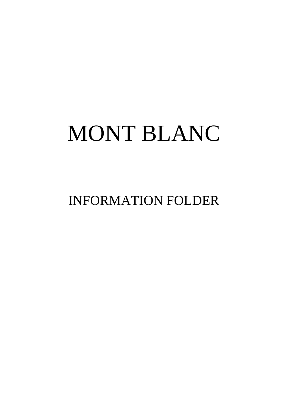# MONT BLANC

INFORMATION FOLDER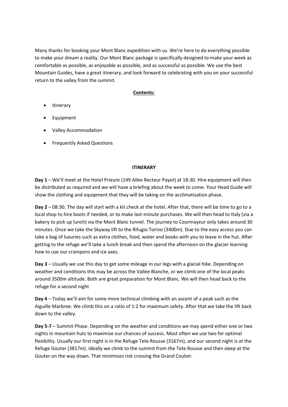Many thanks for booking your Mont Blanc expedition with us. We're here to do everything possible to make your dream a reality. Our Mont Blanc package is specifically designed to make your week as comfortable as possible, as enjoyable as possible, and as successful as possible. We use the best Mountain Guides, have a great itinerary, and look forward to celebrating with you on your successful return to the valley from the summit.

# **Contents:**

- Itinerary
- **Equipment**
- Valley Accommodation
- Frequently Asked Questions

## **ITINERARY**

**Day 1** – We'll meet at the Hotel Prieure (149 Allee Recteur Payot) at 18:30. Hire equipment will then be distributed as required and we will have a briefing about the week to come. Your Head Guide will show the clothing and equipment that they will be taking on the acclimatisation phase.

**Day 2** – 08:30. The day will start with a kit check at the hotel. After that, there will be time to go to a local shop to hire boots if needed, or to make last-minute purchases. We will then head to Italy (via a bakery to pick up lunch) via the Mont Blanc tunnel. The journey to Courmayeur only takes around 30 minutes. Once we take the Skyway lift to the Rifugio Torino (3400m). Due to the easy access you can take a bag of luxuries such as extra clothes, food, water and books with you to leave in the hut. After getting to the refuge we'll take a lunch break and then spend the afternoon on the glacier learning how to use our crampons and ice axes.

**Day 3** – Usually we use this day to get some mileage in our legs with a glacial hike. Depending on weather and conditions this may be across the Vallee Blanche, or we climb one of the local peaks around 3500m altitude. Both are great preparation for Mont Blanc. We will then head back to the refuge for a second night

**Day 4** – Today we'll aim for some more technical climbing with an ascent of a peak such as the Aiguille Marbree. We climb this on a ratio of 1:2 for maximum safety. After that we take the lift back down to the valley.

**Day 5-7** – Summit Phase. Depending on the weather and conditions we may spend either one or two nights in mountain huts to maximise our chances of success. Most often we use two for optimal flexibility. Usually our first night is in the Refuge Tete Rousse (3167m), and our second night is at the Refuge Gouter (3817m). Ideally we climb to the summit from the Tete Rousse and then sleep at the Gouter on the way down. That minimises risk crossing the Grand Couloir.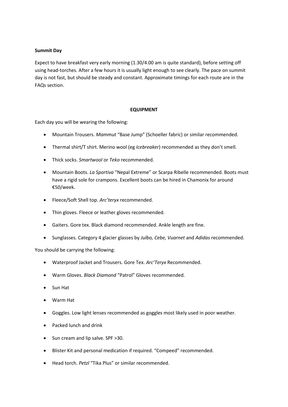## **Summit Day**

Expect to have breakfast very early morning (1.30/4.00 am is quite standard), before setting off using head-torches. After a few hours it is usually light enough to see clearly. The pace on summit day is not fast, but should be steady and constant. Approximate timings for each route are in the FAQs section.

## **EQUIPMENT**

Each day you will be wearing the following:

- Mountain Trousers. *Mammut* "Base Jump" (Schoeller fabric) or similar recommended.
- Thermal shirt/T shirt. Merino wool (eg *Icebreaker*) recommended as they don't smell.
- Thick socks. *Smartwool* or *Teko* recommended.
- Mountain Boots. *La Sportiva* "Nepal Extreme" or Scarpa Ribelle recommended. Boots must have a rigid sole for crampons. Excellent boots can be hired in Chamonix for around €50/week.
- Fleece/Soft Shell top. *Arc'teryx* recommended.
- Thin gloves. Fleece or leather gloves recommended.
- Gaiters. Gore tex. Black diamond recommended. Ankle length are fine.
- Sunglasses. Category 4 glacier glasses by *Julbo, Cebe, Vuarnet* and *Adidas* recommended.

You should be carrying the following:

- Waterproof Jacket and Trousers. Gore Tex. *Arc'Teryx* Recommended.
- Warm Gloves. *Black Diamond* "Patrol" Gloves recommended.
- Sun Hat
- Warm Hat
- Goggles. Low light lenses recommended as goggles most likely used in poor weather.
- Packed lunch and drink
- Sun cream and lip salve. SPF >30.
- Blister Kit and personal medication if required. "Compeed" recommended.
- Head torch. *Petzl* "Tika Plus" or similar recommended.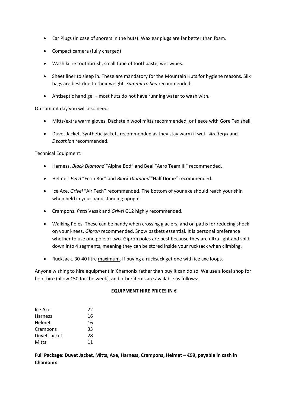- Ear Plugs (in case of snorers in the huts). Wax ear plugs are far better than foam.
- Compact camera (fully charged)
- Wash kit ie toothbrush, small tube of toothpaste, wet wipes.
- Sheet liner to sleep in. These are mandatory for the Mountain Huts for hygiene reasons. Silk bags are best due to their weight. *Summit to Sea* recommended.
- Antiseptic hand gel most huts do not have running water to wash with.

On summit day you will also need:

- Mitts/extra warm gloves. Dachstein wool mitts recommended, or fleece with Gore Tex shell.
- Duvet Jacket. Synthetic jackets recommended as they stay warm if wet. *Arc'teryx* and *Decathlon* recommended.

Technical Equipment:

- Harness. *Black Diamond* "Alpine Bod" and Beal "Aero Team III" recommended.
- Helmet. *Petzl* "Ecrin Roc" and *Black Diamond* "Half Dome" recommended.
- Ice Axe. *Grivel* "Air Tech" recommended. The bottom of your axe should reach your shin when held in your hand standing upright.
- Crampons. *Petzl* Vasak and *Grivel* G12 highly recommended.
- Walking Poles. These can be handy when crossing glaciers, and on paths for reducing shock on your knees. *Gipron* recommended. Snow baskets essential. It is personal preference whether to use one pole or two. Gipron poles are best because they are ultra light and split down into 4 segments, meaning they can be stored inside your rucksack when climbing.
- Rucksack. 30-40 litre maximum. If buying a rucksack get one with ice axe loops.

Anyone wishing to hire equipment in Chamonix rather than buy it can do so. We use a local shop for boot hire (allow €50 for the week), and other items are available as follows:

## **EQUIPMENT HIRE PRICES IN** €

| 22 |
|----|
| 16 |
| 16 |
| 33 |
| 28 |
| 11 |
|    |

**Full Package: Duvet Jacket, Mitts, Axe, Harness, Crampons, Helmet –** €**99, payable in cash in Chamonix**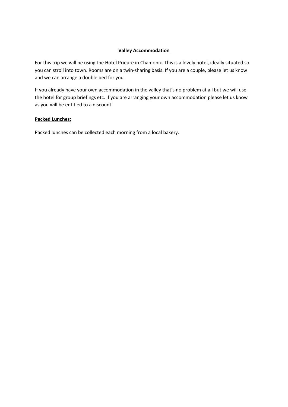# **Valley Accommodation**

For this trip we will be using the Hotel Prieure in Chamonix. This is a lovely hotel, ideally situated so you can stroll into town. Rooms are on a twin-sharing basis. If you are a couple, please let us know and we can arrange a double bed for you.

If you already have your own accommodation in the valley that's no problem at all but we will use the hotel for group briefings etc. If you are arranging your own accommodation please let us know as you will be entitled to a discount.

## **Packed Lunches:**

Packed lunches can be collected each morning from a local bakery.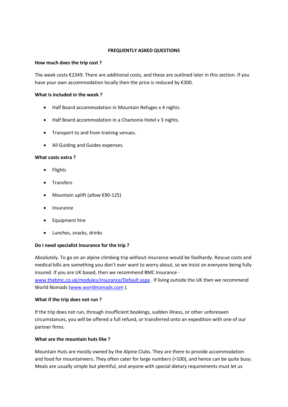## **FREQUENTLY ASKED QUESTIONS**

## **How much does the trip cost ?**

The week costs €2349. There are additional costs, and these are outlined later in this section. If you have your own accommodation locally then the price is reduced by €300.

## **What is included in the week ?**

- Half Board accommodation in Mountain Refuges x 4 nights.
- Half Board accommodation in a Chamonix Hotel x 3 nights.
- Transport to and from training venues.
- All Guiding and Guides expenses.

## **What costs extra ?**

- Flights
- Transfers
- Mountain uplift (allow €90-125)
- Insurance
- Equipment hire
- Lunches, snacks, drinks

# **Do I need specialist Insurance for the trip ?**

Absolutely. To go on an alpine climbing trip without insurance would be foolhardy. Rescue costs and medical bills are something you don't ever want to worry about, so we insist on everyone being fully insured. If you are UK based, then we recommend BMC Insurance [www.thebmc.co.uk/modules/insurance/Default.aspx](http://www.thebmc.co.uk/modules/insurance/Default.aspx) . If living outside the UK then we recommend World Nomads [\(www.worldnomads.com](http://www.worldnomads.com/) ).

# **What if the trip does not run ?**

If the trip does not run, through insufficient bookings, sudden illness, or other unforeseen circumstances, you will be offered a full refund, or transferred onto an expedition with one of our partner firms.

# **What are the mountain huts like ?**

Mountain Huts are mostly owned by the Alpine Clubs. They are there to provide accommodation and food for mountaineers. They often cater for large numbers (>100), and hence can be quite busy. Meals are usually simple but plentiful, and anyone with special dietary requirements must let us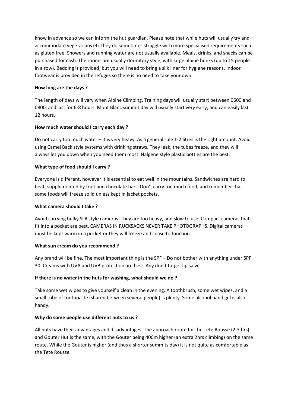know in advance so we can inform the hut guardian. Please note that while huts will usually try and accommodate vegetarians etc they do sometimes struggle with more specialised requirements such as gluten free. Showers and running water are not usually available. Meals, drinks, and snacks can be purchased for cash. The rooms are usually dormitory style, with large alpine bunks (up to 15 people in a row). Bedding is provided, but you will need to bring a silk liner for hygiene reasons. Indoor footwear is provided in the refuges so there is no need to take your own.

# **How long are the days ?**

The length of days will vary when Alpine Climbing. Training days will usually start between 0600 and 0800, and last for 6-8 hours. Mont Blanc summit day will usually start very early, and can easily last 12 hours.

# **How much water should I carry each day ?**

Do not carry too much water – it is very heavy. As a general rule 1-2 litres is the right amount. Avoid using Camel Back style systems with drinking straws. They leak, the tubes freeze, and they will always let you down when you need them most. Nalgene style plastic bottles are the best.

# **What type of food should I carry ?**

Everyone is different, however it is essential to eat well in the mountains. Sandwiches are hard to beat, supplemented by fruit and chocolate bars. Don't carry too much food, and remember that some foods will freeze solid unless kept in jacket pockets.

# **What camera should I take ?**

Avoid carrying bulky SLR style cameras. They are too heavy, and slow to use. Compact cameras that fit into a pocket are best. CAMERAS IN RUCKSACKS NEVER TAKE PHOTOGRAPHS. Digital cameras must be kept warm in a pocket or they will freeze and cease to function.

# **What sun cream do you recommend ?**

Any brand will be fine. The most important thing is the SPF – Do not bother with anything under SPF 30. Creams with UVA and UVB protection are best. Any don't forget lip salve.

# **If there is no water in the huts for washing, what should we do ?**

Take some wet wipes to give yourself a clean in the evening. A toothbrush, some wet wipes, and a small tube of toothpaste (shared between several people) is plenty. Some alcohol hand gel is also handy.

# **Why do some people use different huts to us ?**

All huts have their advantages and disadvantages. The approach route for the Tete Rousse (2-3 hrs) and Gouter Hut is the same, with the Gouter being 400m higher (an extra 2hrs climbing) on the same route. While the Gouter is higher (and thus a shorter summits day) it is not quite as comfortable as the Tete Rousse.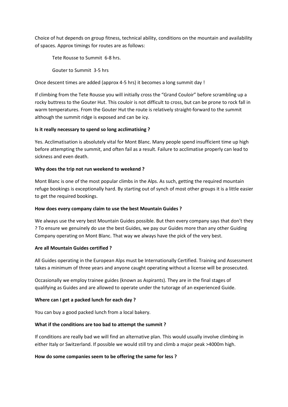Choice of hut depends on group fitness, technical ability, conditions on the mountain and availability of spaces. Approx timings for routes are as follows:

Tete Rousse to Summit 6-8 hrs.

Gouter to Summit 3-5 hrs

Once descent times are added (approx 4-5 hrs) it becomes a long summit day !

If climbing from the Tete Rousse you will initially cross the "Grand Couloir" before scrambling up a rocky buttress to the Gouter Hut. This couloir is not difficult to cross, but can be prone to rock fall in warm temperatures. From the Gouter Hut the route is relatively straight-forward to the summit although the summit ridge is exposed and can be icy.

## **Is it really necessary to spend so long acclimatising ?**

Yes. Acclimatisation is absolutely vital for Mont Blanc. Many people spend insufficient time up high before attempting the summit, and often fail as a result. Failure to acclimatise properly can lead to sickness and even death.

## **Why does the trip not run weekend to weekend ?**

Mont Blanc is one of the most popular climbs in the Alps. As such, getting the required mountain refuge bookings is exceptionally hard. By starting out of synch of most other groups it is a little easier to get the required bookings.

## **How does every company claim to use the best Mountain Guides ?**

We always use the very best Mountain Guides possible. But then every company says that don't they ? To ensure we genuinely do use the best Guides, we pay our Guides more than any other Guiding Company operating on Mont Blanc. That way we always have the pick of the very best.

## **Are all Mountain Guides certified ?**

All Guides operating in the European Alps must be Internationally Certified. Training and Assessment takes a minimum of three years and anyone caught operating without a license will be prosecuted.

Occasionally we employ trainee guides (known as Aspirants). They are in the final stages of qualifying as Guides and are allowed to operate under the tutorage of an experienced Guide.

# **Where can I get a packed lunch for each day ?**

You can buy a good packed lunch from a local bakery.

# **What if the conditions are too bad to attempt the summit ?**

If conditions are really bad we will find an alternative plan. This would usually involve climbing in either Italy or Switzerland. If possible we would still try and climb a major peak >4000m high.

## **How do some companies seem to be offering the same for less ?**